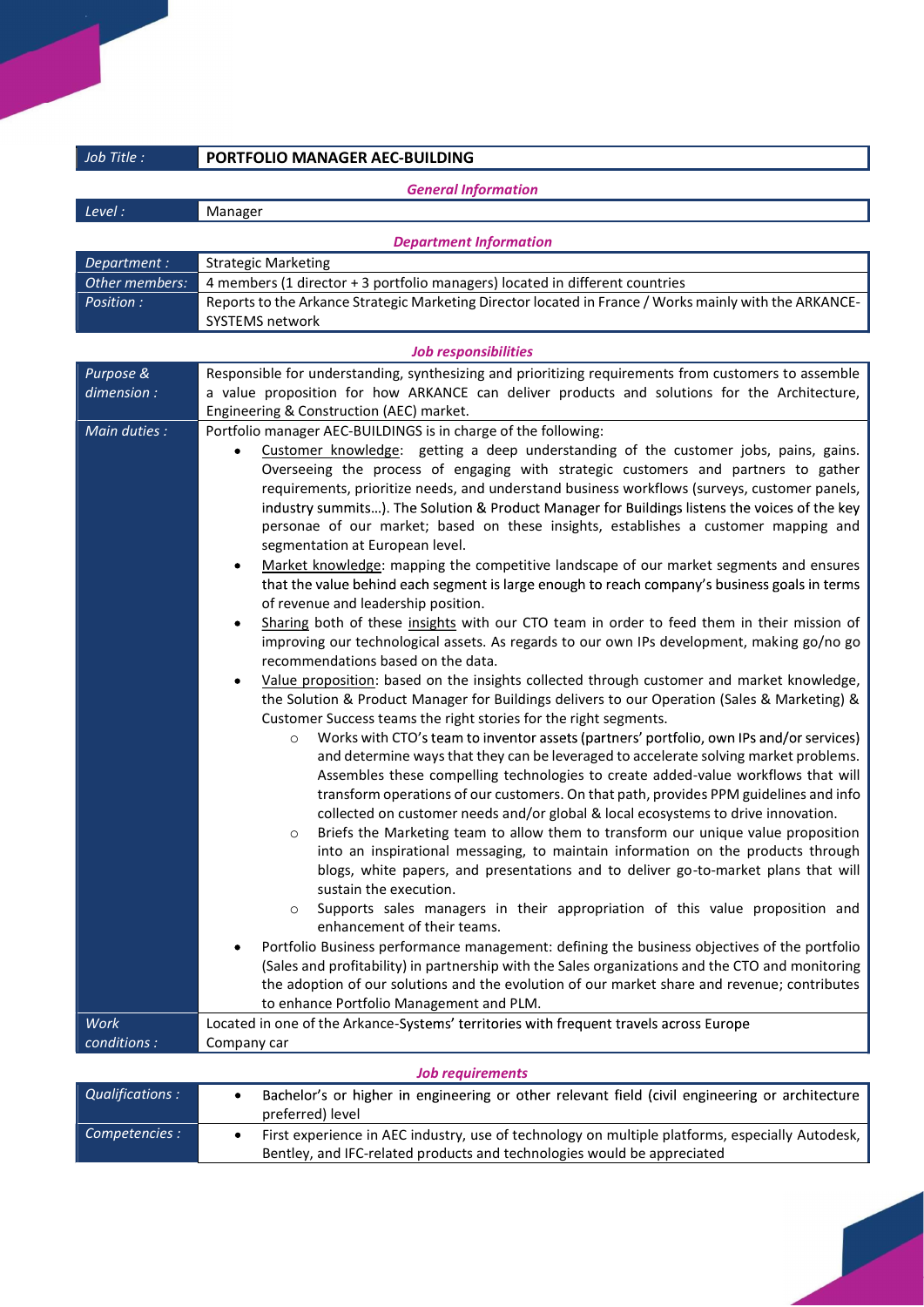| Job Title :      | PORTFOLIO MANAGER AEC-BUILDING                                                                                                                                                           |
|------------------|------------------------------------------------------------------------------------------------------------------------------------------------------------------------------------------|
|                  | <b>General Information</b>                                                                                                                                                               |
| Level:           | Manager                                                                                                                                                                                  |
|                  | <b>Department Information</b>                                                                                                                                                            |
| Department :     | <b>Strategic Marketing</b>                                                                                                                                                               |
| Other members:   | 4 members (1 director + 3 portfolio managers) located in different countries                                                                                                             |
| Position :       | Reports to the Arkance Strategic Marketing Director located in France / Works mainly with the ARKANCE-                                                                                   |
|                  | SYSTEMS network                                                                                                                                                                          |
|                  | <b>Job responsibilities</b>                                                                                                                                                              |
| Purpose &        | Responsible for understanding, synthesizing and prioritizing requirements from customers to assemble                                                                                     |
| dimension :      | a value proposition for how ARKANCE can deliver products and solutions for the Architecture,                                                                                             |
|                  | Engineering & Construction (AEC) market.                                                                                                                                                 |
| Main duties :    | Portfolio manager AEC-BUILDINGS is in charge of the following:                                                                                                                           |
|                  | Customer knowledge: getting a deep understanding of the customer jobs, pains, gains.                                                                                                     |
|                  | Overseeing the process of engaging with strategic customers and partners to gather                                                                                                       |
|                  | requirements, prioritize needs, and understand business workflows (surveys, customer panels,                                                                                             |
|                  | industry summits). The Solution & Product Manager for Buildings listens the voices of the key                                                                                            |
|                  | personae of our market; based on these insights, establishes a customer mapping and                                                                                                      |
|                  | segmentation at European level.                                                                                                                                                          |
|                  | Market knowledge: mapping the competitive landscape of our market segments and ensures                                                                                                   |
|                  | that the value behind each segment is large enough to reach company's business goals in terms                                                                                            |
|                  | of revenue and leadership position.                                                                                                                                                      |
|                  | Sharing both of these insights with our CTO team in order to feed them in their mission of<br>improving our technological assets. As regards to our own IPs development, making go/no go |
|                  | recommendations based on the data.                                                                                                                                                       |
|                  | Value proposition: based on the insights collected through customer and market knowledge,<br>٠                                                                                           |
|                  | the Solution & Product Manager for Buildings delivers to our Operation (Sales & Marketing) &                                                                                             |
|                  | Customer Success teams the right stories for the right segments.                                                                                                                         |
|                  | Works with CTO's team to inventor assets (partners' portfolio, own IPs and/or services)<br>$\circ$                                                                                       |
|                  | and determine ways that they can be leveraged to accelerate solving market problems.                                                                                                     |
|                  | Assembles these compelling technologies to create added-value workflows that will                                                                                                        |
|                  | transform operations of our customers. On that path, provides PPM guidelines and info                                                                                                    |
|                  | collected on customer needs and/or global & local ecosystems to drive innovation.                                                                                                        |
|                  | Briefs the Marketing team to allow them to transform our unique value proposition                                                                                                        |
|                  | into an inspirational messaging, to maintain information on the products through                                                                                                         |
|                  | blogs, white papers, and presentations and to deliver go-to-market plans that will                                                                                                       |
|                  | sustain the execution.                                                                                                                                                                   |
|                  | Supports sales managers in their appropriation of this value proposition and<br>$\circ$                                                                                                  |
|                  | enhancement of their teams.                                                                                                                                                              |
|                  | Portfolio Business performance management: defining the business objectives of the portfolio                                                                                             |
|                  | (Sales and profitability) in partnership with the Sales organizations and the CTO and monitoring                                                                                         |
|                  | the adoption of our solutions and the evolution of our market share and revenue; contributes                                                                                             |
|                  | to enhance Portfolio Management and PLM.                                                                                                                                                 |
| Work             | Located in one of the Arkance-Systems' territories with frequent travels across Europe                                                                                                   |
| conditions :     | Company car                                                                                                                                                                              |
|                  | <b>Job requirements</b>                                                                                                                                                                  |
| Qualifications : | Bachelor's or higher in engineering or other relevant field (civil engineering or architecture<br>preferred) level                                                                       |
| Competencies :   | First experience in AEC industry, use of technology on multiple platforms, especially Autodesk,<br>$\bullet$                                                                             |
|                  | Bentley, and IFC-related products and technologies would be appreciated                                                                                                                  |
|                  |                                                                                                                                                                                          |